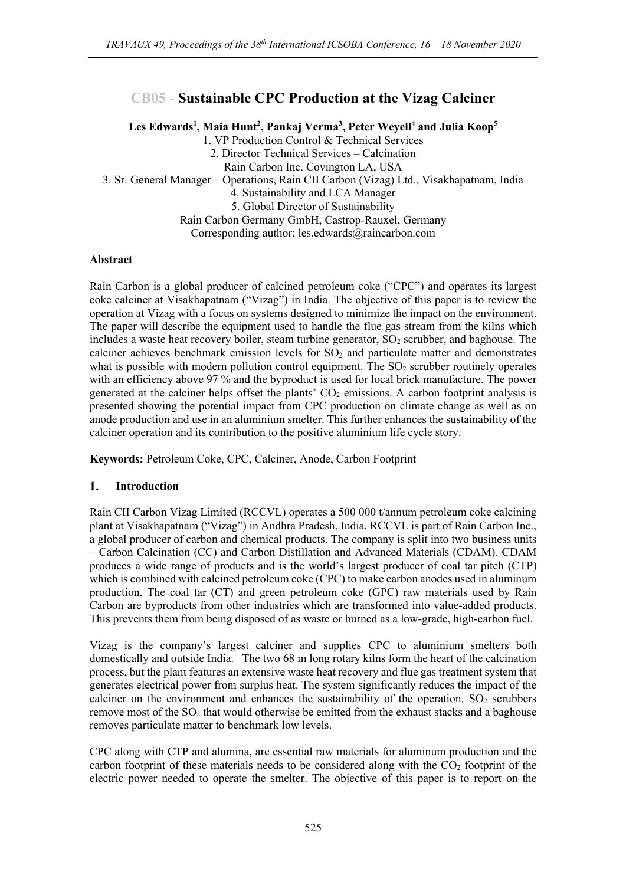# **CB05 - Sustainable CPC Production at the Vizag Calciner**

 $\bf{Les}\,\,Edwards^1,\,Maia\,\,Hunt^2,\,Pankaj\,\,Verma^3,\, Peter\,\,Weyell^4\,\,and\,\,Julia\,\,Koop^5$ 

1. VP Production Control & Technical Services

2. Director Technical Services – Calcination

Rain Carbon Inc. Covington LA, USA

3. Sr. General Manager – Operations, Rain CII Carbon (Vizag) Ltd., Visakhapatnam, India

4. Sustainability and LCA Manager

5. Global Director of Sustainability

Rain Carbon Germany GmbH, Castrop-Rauxel, Germany

Corresponding author: les.edwards@raincarbon.com

## **Abstract**

Rain Carbon is a global producer of calcined petroleum coke ("CPC") and operates its largest coke calciner at Visakhapatnam ("Vizag") in India. The objective of this paper is to review the operation at Vizag with a focus on systems designed to minimize the impact on the environment. The paper will describe the equipment used to handle the flue gas stream from the kilns which includes a waste heat recovery boiler, steam turbine generator,  $SO<sub>2</sub>$  scrubber, and baghouse. The calciner achieves benchmark emission levels for  $SO<sub>2</sub>$  and particulate matter and demonstrates what is possible with modern pollution control equipment. The  $SO<sub>2</sub>$  scrubber routinely operates with an efficiency above 97 % and the byproduct is used for local brick manufacture. The power generated at the calciner helps offset the plants'  $CO<sub>2</sub>$  emissions. A carbon footprint analysis is presented showing the potential impact from CPC production on climate change as well as on anode production and use in an aluminium smelter. This further enhances the sustainability of the calciner operation and its contribution to the positive aluminium life cycle story.

**Keywords:** Petroleum Coke, CPC, Calciner, Anode, Carbon Footprint

#### **Introduction** 1.

Rain CII Carbon Vizag Limited (RCCVL) operates a 500 000 t/annum petroleum coke calcining plant at Visakhapatnam ("Vizag") in Andhra Pradesh, India. RCCVL is part of Rain Carbon Inc., a global producer of carbon and chemical products. The company is split into two business units – Carbon Calcination (CC) and Carbon Distillation and Advanced Materials (CDAM). CDAM produces a wide range of products and is the world's largest producer of coal tar pitch (CTP) which is combined with calcined petroleum coke (CPC) to make carbon anodes used in aluminum production. The coal tar (CT) and green petroleum coke (GPC) raw materials used by Rain Carbon are byproducts from other industries which are transformed into value-added products. This prevents them from being disposed of as waste or burned as a low-grade, high-carbon fuel.

Vizag is the company's largest calciner and supplies CPC to aluminium smelters both domestically and outside India. The two 68 m long rotary kilns form the heart of the calcination process, but the plant features an extensive waste heat recovery and flue gas treatment system that generates electrical power from surplus heat. The system significantly reduces the impact of the calciner on the environment and enhances the sustainability of the operation.  $SO<sub>2</sub>$  scrubbers remove most of the  $SO_2$  that would otherwise be emitted from the exhaust stacks and a baghouse removes particulate matter to benchmark low levels.

CPC along with CTP and alumina, are essential raw materials for aluminum production and the carbon footprint of these materials needs to be considered along with the  $CO<sub>2</sub>$  footprint of the electric power needed to operate the smelter. The objective of this paper is to report on the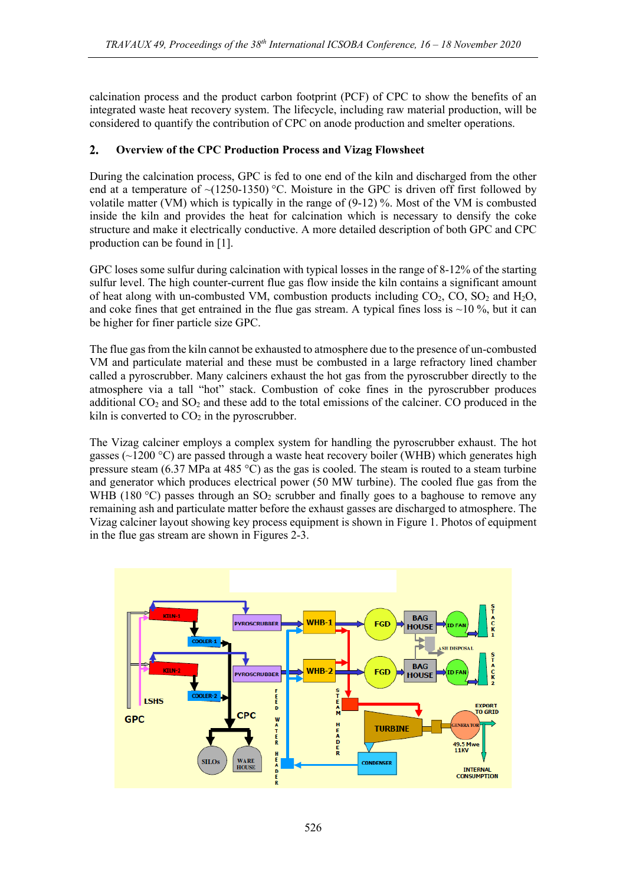calcination process and the product carbon footprint (PCF) of CPC to show the benefits of an integrated waste heat recovery system. The lifecycle, including raw material production, will be considered to quantify the contribution of CPC on anode production and smelter operations.

### $2.$ **Overview of the CPC Production Process and Vizag Flowsheet**

During the calcination process, GPC is fed to one end of the kiln and discharged from the other end at a temperature of  $\sim$ (1250-1350) °C. Moisture in the GPC is driven off first followed by volatile matter (VM) which is typically in the range of (9-12) %. Most of the VM is combusted inside the kiln and provides the heat for calcination which is necessary to densify the coke structure and make it electrically conductive. A more detailed description of both GPC and CPC production can be found in [1].

GPC loses some sulfur during calcination with typical losses in the range of 8-12% of the starting sulfur level. The high counter-current flue gas flow inside the kiln contains a significant amount of heat along with un-combusted VM, combustion products including  $CO_2$ ,  $CO$ ,  $SO_2$  and  $H_2O$ , and coke fines that get entrained in the flue gas stream. A typical fines loss is  $\sim$ 10 %, but it can be higher for finer particle size GPC.

The flue gas from the kiln cannot be exhausted to atmosphere due to the presence of un-combusted VM and particulate material and these must be combusted in a large refractory lined chamber called a pyroscrubber. Many calciners exhaust the hot gas from the pyroscrubber directly to the atmosphere via a tall "hot" stack. Combustion of coke fines in the pyroscrubber produces additional  $CO<sub>2</sub>$  and  $SO<sub>2</sub>$  and these add to the total emissions of the calciner. CO produced in the kiln is converted to  $CO<sub>2</sub>$  in the pyroscrubber.

The Vizag calciner employs a complex system for handling the pyroscrubber exhaust. The hot gasses ( $\sim$ 1200 °C) are passed through a waste heat recovery boiler (WHB) which generates high pressure steam (6.37 MPa at 485 °C) as the gas is cooled. The steam is routed to a steam turbine and generator which produces electrical power (50 MW turbine). The cooled flue gas from the WHB (180 °C) passes through an  $SO_2$  scrubber and finally goes to a baghouse to remove any remaining ash and particulate matter before the exhaust gasses are discharged to atmosphere. The Vizag calciner layout showing key process equipment is shown in Figure 1. Photos of equipment in the flue gas stream are shown in Figures 2-3.

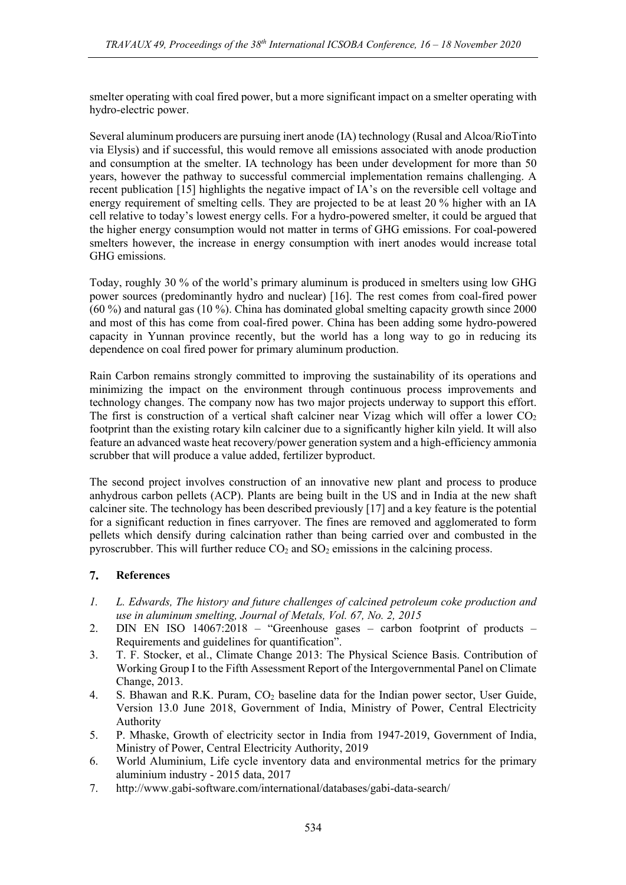smelter operating with coal fired power, but a more significant impact on a smelter operating with hydro-electric power.

Several aluminum producers are pursuing inert anode (IA) technology (Rusal and Alcoa/RioTinto via Elysis) and if successful, this would remove all emissions associated with anode production and consumption at the smelter. IA technology has been under development for more than 50 years, however the pathway to successful commercial implementation remains challenging. A recent publication [15] highlights the negative impact of IA's on the reversible cell voltage and energy requirement of smelting cells. They are projected to be at least 20 % higher with an IA cell relative to today's lowest energy cells. For a hydro-powered smelter, it could be argued that the higher energy consumption would not matter in terms of GHG emissions. For coal-powered smelters however, the increase in energy consumption with inert anodes would increase total GHG emissions.

Today, roughly 30 % of the world's primary aluminum is produced in smelters using low GHG power sources (predominantly hydro and nuclear) [16]. The rest comes from coal-fired power  $(60\%)$  and natural gas  $(10\%)$ . China has dominated global smelting capacity growth since 2000 and most of this has come from coal-fired power. China has been adding some hydro-powered capacity in Yunnan province recently, but the world has a long way to go in reducing its dependence on coal fired power for primary aluminum production.

Rain Carbon remains strongly committed to improving the sustainability of its operations and minimizing the impact on the environment through continuous process improvements and technology changes. The company now has two major projects underway to support this effort. The first is construction of a vertical shaft calciner near Vizag which will offer a lower  $CO<sub>2</sub>$ footprint than the existing rotary kiln calciner due to a significantly higher kiln yield. It will also feature an advanced waste heat recovery/power generation system and a high-efficiency ammonia scrubber that will produce a value added, fertilizer byproduct.

The second project involves construction of an innovative new plant and process to produce anhydrous carbon pellets (ACP). Plants are being built in the US and in India at the new shaft calciner site. The technology has been described previously [17] and a key feature is the potential for a significant reduction in fines carryover. The fines are removed and agglomerated to form pellets which densify during calcination rather than being carried over and combusted in the pyroscrubber. This will further reduce  $CO<sub>2</sub>$  and  $SO<sub>2</sub>$  emissions in the calcining process.

#### 7. **References**

- *1. L. Edwards, The history and future challenges of calcined petroleum coke production and use in aluminum smelting, Journal of Metals, Vol. 67, No. 2, 2015*
- 2. DIN EN ISO 14067:2018 "Greenhouse gases carbon footprint of products Requirements and guidelines for quantification".
- 3. T. F. Stocker, et al., Climate Change 2013: The Physical Science Basis. Contribution of Working Group I to the Fifth Assessment Report of the Intergovernmental Panel on Climate Change, 2013.
- 4. S. Bhawan and R.K. Puram, CO<sub>2</sub> baseline data for the Indian power sector, User Guide, Version 13.0 June 2018, Government of India, Ministry of Power, Central Electricity Authority
- 5. P. Mhaske, Growth of electricity sector in India from 1947-2019, Government of India, Ministry of Power, Central Electricity Authority, 2019
- 6. World Aluminium, Life cycle inventory data and environmental metrics for the primary aluminium industry - 2015 data, 2017
- 7. http://www.gabi-software.com/international/databases/gabi-data-search/